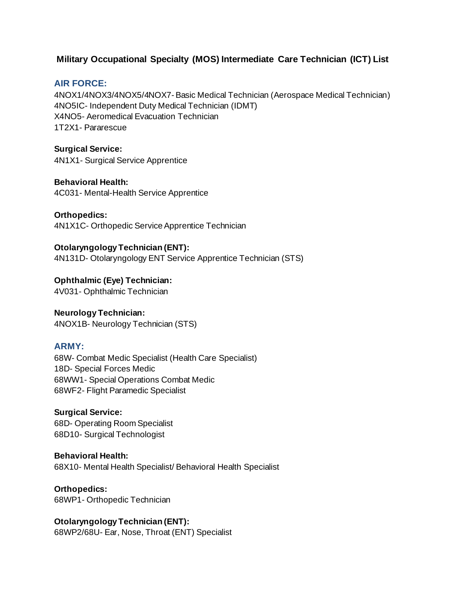# **Military Occupational Specialty (MOS) Intermediate Care Technician (ICT) List**

## **AIR FORCE:**

4NOX1/4NOX3/4NOX5/4NOX7- Basic Medical Technician (Aerospace Medical Technician) 4NO5IC- Independent Duty Medical Technician (IDMT) X4NO5- Aeromedical Evacuation Technician 1T2X1- Pararescue

**Surgical Service:** 4N1X1- Surgical Service Apprentice

**Behavioral Health:** 4C031- Mental-Health Service Apprentice

**Orthopedics:**  4N1X1C- Orthopedic Service Apprentice Technician

**Otolaryngology Technician (ENT):** 4N131D- Otolaryngology ENT Service Apprentice Technician (STS)

**Ophthalmic (Eye) Technician:** 4V031- Ophthalmic Technician

**Neurology Technician:**  4NOX1B- Neurology Technician (STS)

## **ARMY:**

68W- Combat Medic Specialist (Health Care Specialist) 18D- Special Forces Medic 68WW1- Special Operations Combat Medic 68WF2- Flight Paramedic Specialist

**Surgical Service:** 68D- Operating Room Specialist 68D10- Surgical Technologist

**Behavioral Health:** 68X10- Mental Health Specialist/ Behavioral Health Specialist

**Orthopedics:** 68WP1- Orthopedic Technician

**Otolaryngology Technician (ENT):** 68WP2/68U- Ear, Nose, Throat (ENT) Specialist